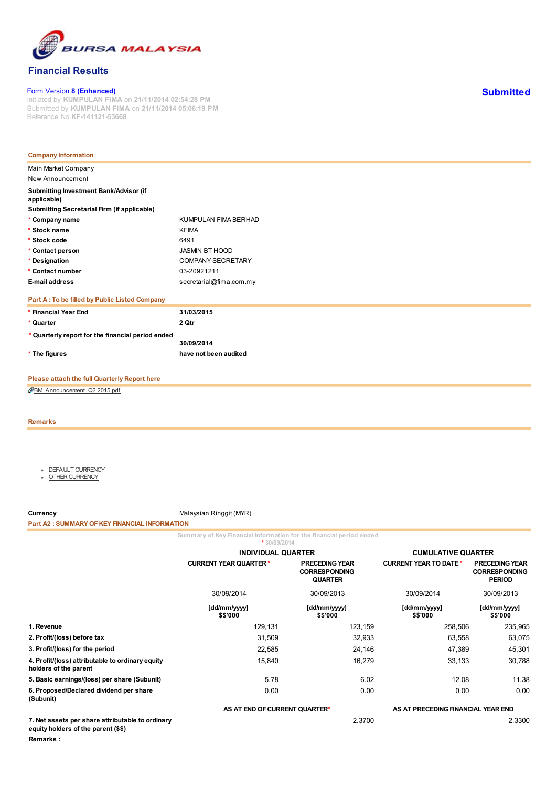

# Financial Results

#### Form Version 8 (Enhanced)

Initiated by KUMPULAN FIMA on 21/11/2014 02:54:28 PM Submitted by KUMPULAN FIMA on 21/11/2014 05:06:19 PM Reference No KF-141121-53668

| <b>Company Information</b>                            |                         |
|-------------------------------------------------------|-------------------------|
| Main Market Company<br>New Announcement               |                         |
| Submitting Investment Bank/Advisor (if<br>applicable) |                         |
| Submitting Secretarial Firm (if applicable)           |                         |
| * Company name                                        | KUMPULAN FIMA BERHAD    |
| * Stock name                                          | <b>KFIMA</b>            |
| * Stock code                                          | 6491                    |
| * Contact person                                      | JASMIN BT HOOD          |
| * Designation                                         | COMPANY SECRETARY       |
| * Contact number                                      | 03-20921211             |
| E-mail address                                        | secretarial@fima.com.my |
| Part A: To be filled by Public Listed Company         |                         |
| * Financial Year End                                  | 31/03/2015              |
| * Quarter                                             | 2 Qtr                   |
| * Quarterly report for the financial period ended     | 30/09/2014              |
| * The figures                                         | have not been audited   |

# Please attach the full Quarterly Report here

[BM\\_Announcement\\_Q2](https://bursalink.bursamalaysia.com/link/KFIMA/PLC_LOCAL.nsf/all/68F0418ADF330B9A48257D9700270FAB/$File/BM_Announcement_Q2%202015.pdf) 2015.pdf

#### Remarks

- **DEFAULT [CURRENCY](javascript:fncShowTab(1);)**
- OTHER [CURRENCY](javascript:fncShowTab(2);)

Currency Currency Malaysian Ringgit (MYR)

#### Part A2 : SUMMARY OF KEY FINANCIAL INFORMATION

Summary of Key Financial Information for the financial period ended

|                                                                                         | * 30/09/2014                                                                                     |                          |                                    |                                                                |  |
|-----------------------------------------------------------------------------------------|--------------------------------------------------------------------------------------------------|--------------------------|------------------------------------|----------------------------------------------------------------|--|
|                                                                                         | <b>INDIVIDUAL QUARTER</b>                                                                        |                          | <b>CUMULATIVE QUARTER</b>          |                                                                |  |
|                                                                                         | <b>PRECEDING YEAR</b><br><b>CURRENT YEAR QUARTER *</b><br><b>CORRESPONDING</b><br><b>QUARTER</b> |                          | <b>CURRENT YEAR TO DATE *</b>      | <b>PRECEDING YEAR</b><br><b>CORRESPONDING</b><br><b>PERIOD</b> |  |
|                                                                                         | 30/09/2014                                                                                       | 30/09/2013               | 30/09/2014                         | 30/09/2013                                                     |  |
|                                                                                         | [dd/mm/yyyy]<br>\$\$'000                                                                         | [dd/mm/yyyy]<br>\$\$'000 | [dd/mm/yyyy]<br>\$\$'000           | [dd/mm/yyyy]<br>\$\$'000                                       |  |
| 1. Revenue                                                                              | 129,131                                                                                          | 123,159                  | 258,506                            | 235,965                                                        |  |
| 2. Profit/(loss) before tax                                                             | 31,509                                                                                           | 32,933                   | 63,558                             | 63,075                                                         |  |
| 3. Profit/(loss) for the period                                                         | 22,585                                                                                           | 24,146                   | 47,389                             | 45,301                                                         |  |
| 4. Profit/(loss) attributable to ordinary equity<br>holders of the parent               | 15,840                                                                                           | 16,279                   | 33,133                             | 30,788                                                         |  |
| 5. Basic earnings/(loss) per share (Subunit)                                            | 5.78                                                                                             | 6.02                     | 12.08                              | 11.38                                                          |  |
| 6. Proposed/Declared dividend per share<br>(Subunit)                                    | 0.00                                                                                             | 0.00                     | 0.00                               | 0.00                                                           |  |
|                                                                                         | AS AT END OF CURRENT QUARTER*                                                                    |                          | AS AT PRECEDING FINANCIAL YEAR END |                                                                |  |
| 7. Net assets per share attributable to ordinary<br>equity holders of the parent (\$\$) |                                                                                                  | 2.3700                   |                                    | 2.3300                                                         |  |

Remarks :

**Submitted**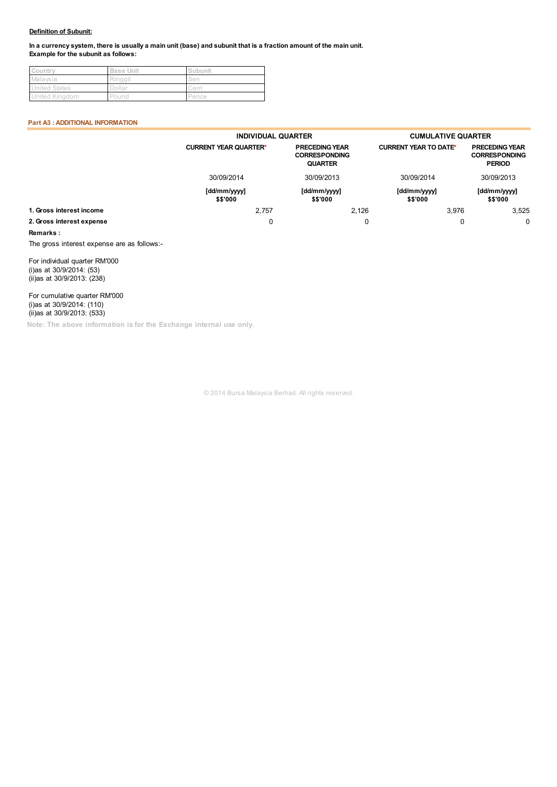#### Definition of Subunit:

In a currency system, there is usually a main unit (base) and subunit that is a fraction amount of the main unit. Example for the subunit as follows:

| Country              | <b>Base Unit</b> | Subunit |
|----------------------|------------------|---------|
| Malaysia             | Ringgit          | Sen     |
| <b>United States</b> | Dollar           | Cent    |
| United Kingdom       | Pound            | Pence   |

#### Part A3 : ADDITIONAL INFORMATION

|                           | <b>INDIVIDUAL QUARTER</b>    |                                                                 | <b>CUMULATIVE QUARTER</b>    |                                                                              |  |
|---------------------------|------------------------------|-----------------------------------------------------------------|------------------------------|------------------------------------------------------------------------------|--|
|                           | <b>CURRENT YEAR QUARTER*</b> | <b>PRECEDING YEAR</b><br><b>CORRESPONDING</b><br><b>QUARTER</b> | <b>CURRENT YEAR TO DATE*</b> | <b>PRECEDING YEAR</b><br><b>CORRESPONDING</b><br><b>PERIOD</b><br>30/09/2013 |  |
|                           | 30/09/2014                   | 30/09/2013                                                      | 30/09/2014                   |                                                                              |  |
|                           | [dd/mm/yyyy]<br>\$\$'000     | [dd/mm/yyyy]<br>\$\$'000                                        | [dd/mm/yyyy]<br>\$\$'000     | [dd/mm/yyyy]<br>\$\$'000                                                     |  |
| 1. Gross interest income  | 2,757                        | 2.126                                                           | 3.976                        | 3,525                                                                        |  |
| 2. Gross interest expense | 0                            | 0                                                               | О                            | $\Omega$                                                                     |  |

#### Remarks :

The gross interest expense are as follows:-

For individual quarter RM'000 (i)as at 30/9/2014: (53) (ii)as at 30/9/2013: (238)

For cumulative quarter RM'000 (i)as at 30/9/2014: (110) (ii)as at 30/9/2013: (533)

Note: The above information is for the Exchange internal use only.

© 2014 Bursa Malaysia Berhad. All rights reserved.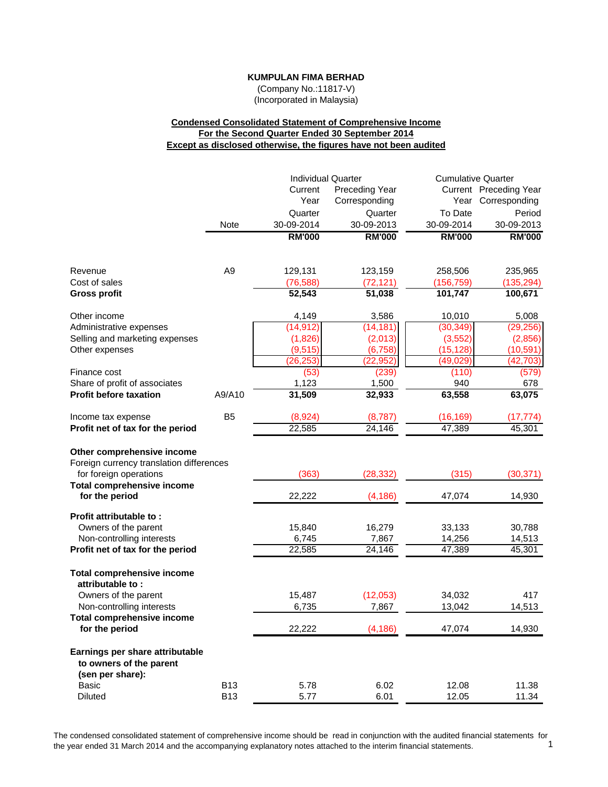(Company No.:11817-V) (Incorporated in Malaysia)

# **Condensed Consolidated Statement of Comprehensive Income For the Second Quarter Ended 30 September 2014 Except as disclosed otherwise, the figures have not been audited**

|                                                                                                                  |                          | <b>Individual Quarter</b> |                           | <b>Cumulative Quarter</b>  |                            |
|------------------------------------------------------------------------------------------------------------------|--------------------------|---------------------------|---------------------------|----------------------------|----------------------------|
|                                                                                                                  |                          | Current                   | <b>Preceding Year</b>     |                            | Current Preceding Year     |
|                                                                                                                  |                          | Year                      | Corresponding             |                            | Year Corresponding         |
|                                                                                                                  |                          | Quarter                   | Quarter                   | To Date                    | Period                     |
|                                                                                                                  | Note                     | 30-09-2014                | 30-09-2013                | 30-09-2014                 | 30-09-2013                 |
|                                                                                                                  |                          | <b>RM'000</b>             | <b>RM'000</b>             | <b>RM'000</b>              | <b>RM'000</b>              |
| Revenue                                                                                                          | A <sub>9</sub>           |                           |                           |                            | 235,965                    |
| Cost of sales                                                                                                    |                          | 129,131<br>(76, 588)      | 123,159<br>(72, 121)      | 258,506<br>(156, 759)      | (135, 294)                 |
| <b>Gross profit</b>                                                                                              |                          | 52,543                    | 51,038                    | 101,747                    | 100,671                    |
| Other income                                                                                                     |                          | 4,149                     | 3,586                     | 10,010                     | 5,008                      |
| Administrative expenses                                                                                          |                          | (14, 912)                 | (14, 181)                 | (30, 349)                  | (29, 256)                  |
| Selling and marketing expenses                                                                                   |                          | (1,826)                   | (2,013)                   | (3, 552)                   | (2,856)                    |
| Other expenses                                                                                                   |                          | (9, 515)                  | (6, 758)                  | (15, 128)                  | (10, 591)                  |
|                                                                                                                  |                          | (26, 253)                 | (22, 952)                 | (49, 029)                  | (42, 703)                  |
| Finance cost                                                                                                     |                          | (53)                      | (239)                     | (110)                      | (579)                      |
| Share of profit of associates                                                                                    |                          | 1,123                     | 1,500                     | 940                        | 678                        |
| <b>Profit before taxation</b>                                                                                    | A9/A10                   | 31,509                    | 32,933                    | 63,558                     | 63,075                     |
| Income tax expense                                                                                               | B <sub>5</sub>           | (8,924)                   | (8,787)                   | (16, 169)                  | (17, 774)                  |
| Profit net of tax for the period                                                                                 |                          | 22,585                    | 24,146                    | 47,389                     | 45,301                     |
| Other comprehensive income<br>Foreign currency translation differences<br>for foreign operations                 |                          | (363)                     | (28, 332)                 | (315)                      | (30, 371)                  |
| <b>Total comprehensive income</b><br>for the period                                                              |                          | 22,222                    | (4, 186)                  | 47,074                     | 14,930                     |
| Profit attributable to:<br>Owners of the parent<br>Non-controlling interests<br>Profit net of tax for the period |                          | 15,840<br>6,745<br>22,585 | 16,279<br>7,867<br>24,146 | 33,133<br>14,256<br>47,389 | 30,788<br>14,513<br>45,301 |
| <b>Total comprehensive income</b><br>attributable to:<br>Owners of the parent<br>Non-controlling interests       |                          | 15,487<br>6,735           | (12,053)<br>7,867         | 34,032<br>13,042           | 417<br>14,513              |
| <b>Total comprehensive income</b><br>for the period                                                              |                          | 22,222                    | (4, 186)                  | 47,074                     | 14,930                     |
| Earnings per share attributable<br>to owners of the parent<br>(sen per share):                                   |                          |                           |                           |                            |                            |
| <b>Basic</b><br><b>Diluted</b>                                                                                   | <b>B13</b><br><b>B13</b> | 5.78<br>5.77              | 6.02<br>6.01              | 12.08<br>12.05             | 11.38<br>11.34             |

The condensed consolidated statement of comprehensive income should be read in conjunction with the audited financial statements for the vear ended 31 March 2014 and the accompanying explanatory notes attached to the inter the year ended 31 March 2014 and the accompanying explanatory notes attached to the interim financial statements. 1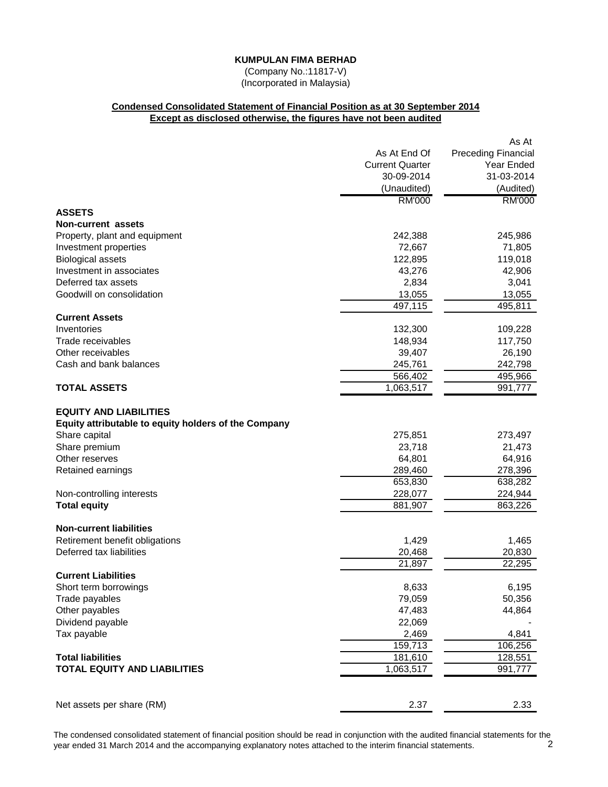(Company No.:11817-V) (Incorporated in Malaysia)

# **Condensed Consolidated Statement of Financial Position as at 30 September 2014 Except as disclosed otherwise, the figures have not been audited**

|                                                      |                        | As At                      |
|------------------------------------------------------|------------------------|----------------------------|
|                                                      | As At End Of           | <b>Preceding Financial</b> |
|                                                      | <b>Current Quarter</b> | Year Ended                 |
|                                                      | 30-09-2014             | 31-03-2014                 |
|                                                      | (Unaudited)            | (Audited)                  |
|                                                      | <b>RM'000</b>          | <b>RM'000</b>              |
| <b>ASSETS</b>                                        |                        |                            |
| <b>Non-current assets</b>                            |                        |                            |
| Property, plant and equipment                        | 242,388                | 245,986                    |
| Investment properties                                | 72,667                 | 71,805                     |
| <b>Biological assets</b>                             | 122,895                | 119,018                    |
| Investment in associates                             | 43,276                 | 42,906                     |
| Deferred tax assets                                  | 2,834                  | 3,041                      |
| Goodwill on consolidation                            | 13,055                 | 13,055                     |
|                                                      | 497,115                | 495,811                    |
| <b>Current Assets</b>                                |                        |                            |
| Inventories                                          | 132,300                | 109,228                    |
| Trade receivables                                    | 148,934                | 117,750                    |
| Other receivables                                    | 39,407                 | 26,190                     |
| Cash and bank balances                               | 245,761                | 242,798                    |
|                                                      | 566,402                | 495,966                    |
| <b>TOTAL ASSETS</b>                                  | 1,063,517              | 991,777                    |
|                                                      |                        |                            |
| <b>EQUITY AND LIABILITIES</b>                        |                        |                            |
| Equity attributable to equity holders of the Company |                        |                            |
| Share capital                                        | 275,851                | 273,497                    |
| Share premium                                        | 23,718                 | 21,473                     |
| Other reserves                                       | 64,801                 | 64,916                     |
| Retained earnings                                    | 289,460<br>653,830     | 278,396<br>638,282         |
|                                                      | 228,077                | 224,944                    |
| Non-controlling interests<br><b>Total equity</b>     | 881,907                | 863,226                    |
|                                                      |                        |                            |
| <b>Non-current liabilities</b>                       |                        |                            |
| Retirement benefit obligations                       | 1,429                  | 1,465                      |
| Deferred tax liabilities                             | 20,468                 | 20,830                     |
|                                                      | 21,897                 | 22,295                     |
| <b>Current Liabilities</b>                           |                        |                            |
| Short term borrowings                                | 8,633                  | 6,195                      |
| Trade payables                                       | 79,059                 | 50,356                     |
| Other payables                                       | 47,483                 | 44,864                     |
| Dividend payable                                     | 22,069                 |                            |
| Tax payable                                          | 2,469                  | 4,841                      |
|                                                      | 159,713                | 106,256                    |
| <b>Total liabilities</b>                             | 181,610                | 128,551                    |
| <b>TOTAL EQUITY AND LIABILITIES</b>                  | 1,063,517              | 991,777                    |
|                                                      |                        |                            |
|                                                      |                        |                            |
| Net assets per share (RM)                            | 2.37                   | 2.33                       |

The condensed consolidated statement of financial position should be read in conjunction with the audited financial statements for the vear ended 31 March 2014 and the accompanying explanatory notes attached to the interim year ended 31 March 2014 and the accompanying explanatory notes attached to the interim financial statements. 2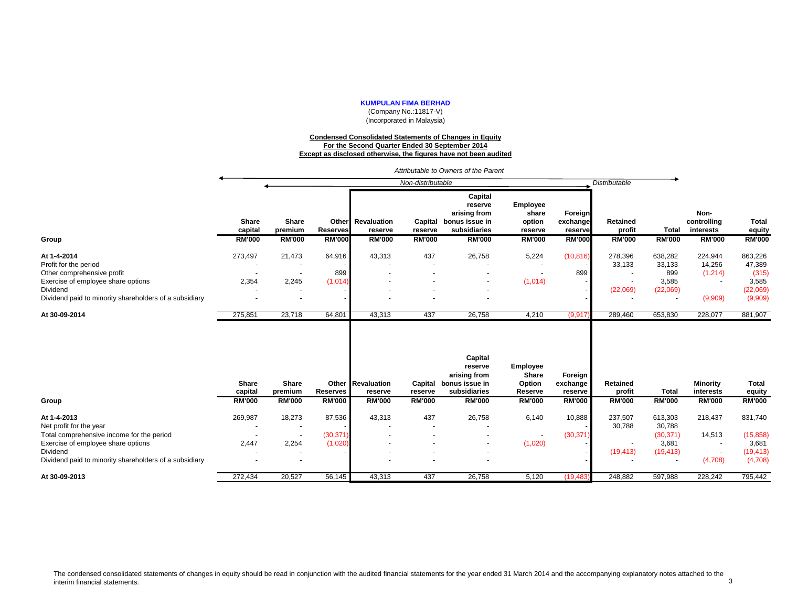(Company No.:11817-V) (Incorporated in Malaysia)

#### **Condensed Consolidated Statements of Changes in Equity For the Second Quarter Ended 30 September 2014 Except as disclosed otherwise, the figures have not been audited**

*Attributable to Owners of the Parent*

|                                                        |                                          |                                   |                                  |                                               | Non-distributable                   |                                                                                       |                                                         |                                                 | Distributable                       |                               |                                                   |                                         |
|--------------------------------------------------------|------------------------------------------|-----------------------------------|----------------------------------|-----------------------------------------------|-------------------------------------|---------------------------------------------------------------------------------------|---------------------------------------------------------|-------------------------------------------------|-------------------------------------|-------------------------------|---------------------------------------------------|-----------------------------------------|
| Group                                                  | <b>Share</b><br>capital<br><b>RM'000</b> | Share<br>premium<br><b>RM'000</b> | <b>Reserves</b><br><b>RM'000</b> | Other Revaluation<br>reserve<br><b>RM'000</b> | Capital<br>reserve<br><b>RM'000</b> | Capital<br>reserve<br>arising from<br>bonus issue in<br>subsidiaries<br><b>RM'000</b> | Employee<br>share<br>option<br>reserve<br><b>RM'000</b> | Foreign<br>exchange<br>reserve<br><b>RM'000</b> | Retained<br>profit<br><b>RM'000</b> | <b>Total</b><br><b>RM'000</b> | Non-<br>controlling<br>interests<br><b>RM'000</b> | <b>Total</b><br>equity<br><b>RM'000</b> |
| At 1-4-2014                                            | 273,497                                  | 21,473                            | 64,916                           | 43,313                                        | 437                                 | 26,758                                                                                | 5,224                                                   | (10, 816)                                       | 278,396                             | 638,282                       | 224,944                                           | 863,226                                 |
| Profit for the period                                  |                                          |                                   |                                  |                                               |                                     |                                                                                       |                                                         |                                                 | 33,133                              | 33,133                        | 14,256                                            | 47,389                                  |
| Other comprehensive profit                             |                                          |                                   | 899                              |                                               |                                     |                                                                                       |                                                         | 899                                             |                                     | 899                           | (1, 214)                                          | (315)                                   |
| Exercise of employee share options                     | 2,354                                    | 2,245                             | (1,014)                          |                                               |                                     |                                                                                       | (1,014)                                                 |                                                 |                                     | 3,585                         |                                                   | 3,585                                   |
| Dividend                                               |                                          |                                   |                                  |                                               |                                     |                                                                                       |                                                         |                                                 | (22,069)                            | (22,069)                      |                                                   | (22,069)                                |
| Dividend paid to minority shareholders of a subsidiary |                                          | $\overline{\phantom{a}}$          |                                  |                                               |                                     |                                                                                       |                                                         |                                                 |                                     |                               | (9,909)                                           | (9,909)                                 |
| At 30-09-2014                                          | 275,851                                  | 23,718                            | 64,801                           | 43,313                                        | 437                                 | 26,758                                                                                | 4,210                                                   | (9, 917)                                        | 289,460                             | 653,830                       | 228,077                                           | 881,907                                 |
|                                                        | Share<br>capital                         | Share<br>premium                  | Reserves                         | Other Revaluation<br>reserve                  | Capital<br>reserve                  | Capital<br>reserve<br>arising from<br>bonus issue in<br>subsidiaries                  | <b>Employee</b><br><b>Share</b><br>Option<br>Reserve    | Foreign<br>exchange<br>reserve                  | Retained<br>profit                  | <b>Total</b>                  | <b>Minority</b><br>interests                      | <b>Total</b><br>equity                  |
| Group                                                  | <b>RM'000</b>                            | <b>RM'000</b>                     | <b>RM'000</b>                    | <b>RM'000</b>                                 | <b>RM'000</b>                       | <b>RM'000</b>                                                                         | <b>RM'000</b>                                           | <b>RM'000</b>                                   | <b>RM'000</b>                       | <b>RM'000</b>                 | <b>RM'000</b>                                     | <b>RM'000</b>                           |
| At 1-4-2013<br>Net profit for the year                 | 269,987                                  | 18,273                            | 87,536                           | 43,313                                        | 437                                 | 26,758                                                                                | 6,140                                                   | 10,888                                          | 237,507<br>30,788                   | 613,303<br>30,788             | 218,437                                           | 831,740                                 |
| Total comprehensive income for the period              |                                          |                                   | (30, 371)                        |                                               |                                     |                                                                                       | $\overline{\phantom{a}}$                                | (30, 371)                                       |                                     | (30, 371)                     | 14,513                                            | (15, 858)                               |
| Exercise of employee share options                     | 2,447                                    | 2,254                             | (1,020)                          |                                               |                                     |                                                                                       | (1,020)                                                 |                                                 |                                     | 3,681                         |                                                   | 3,681                                   |
| Dividend                                               |                                          |                                   |                                  |                                               |                                     |                                                                                       |                                                         |                                                 | (19, 413)                           | (19, 413)                     | $\sim$                                            | (19, 413)                               |
| Dividend paid to minority shareholders of a subsidiary |                                          |                                   |                                  |                                               |                                     |                                                                                       |                                                         |                                                 |                                     |                               | (4,708)                                           | (4,708)                                 |
| At 30-09-2013                                          | 272,434                                  | 20,527                            | 56,145                           | 43,313                                        | 437                                 | 26,758                                                                                | 5,120                                                   | (19, 483)                                       | 248,882                             | 597,988                       | 228,242                                           | 795,442                                 |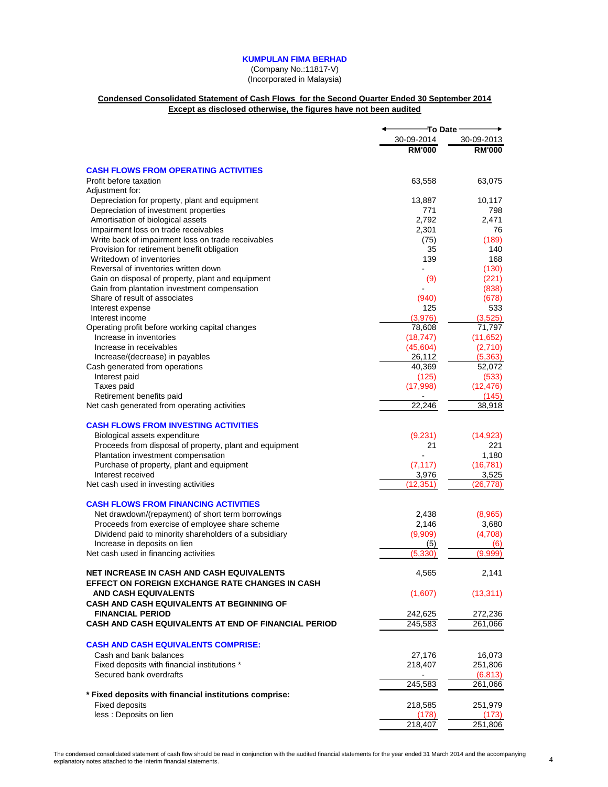(Company No.:11817-V) (Incorporated in Malaysia)

## **Condensed Consolidated Statement of Cash Flows for the Second Quarter Ended 30 September 2014 Except as disclosed otherwise, the figures have not been audited**

|                                                                                                     | <b>To Date</b> |                    |
|-----------------------------------------------------------------------------------------------------|----------------|--------------------|
|                                                                                                     | 30-09-2014     | 30-09-2013         |
|                                                                                                     | <b>RM'000</b>  | <b>RM'000</b>      |
| <b>CASH FLOWS FROM OPERATING ACTIVITIES</b>                                                         |                |                    |
| Profit before taxation<br>Adjustment for:                                                           | 63,558         | 63,075             |
| Depreciation for property, plant and equipment                                                      | 13,887         | 10,117             |
| Depreciation of investment properties                                                               | 771            | 798                |
| Amortisation of biological assets                                                                   | 2,792          | 2,471              |
| Impairment loss on trade receivables                                                                | 2,301          | 76                 |
| Write back of impairment loss on trade receivables                                                  | (75)           | (189)              |
| Provision for retirement benefit obligation                                                         | 35             | 140                |
| Writedown of inventories                                                                            | 139            | 168                |
| Reversal of inventories written down                                                                |                | (130)              |
| Gain on disposal of property, plant and equipment                                                   | (9)            | (221)              |
| Gain from plantation investment compensation                                                        |                | (838)              |
| Share of result of associates                                                                       | (940)          | (678)              |
| Interest expense                                                                                    | 125            | 533                |
| Interest income                                                                                     | (3,976)        | (3,525)            |
| Operating profit before working capital changes                                                     | 78,608         | 71,797             |
| Increase in inventories                                                                             | (18, 747)      | (11, 652)          |
| Increase in receivables                                                                             | (45,604)       | (2,710)            |
| Increase/(decrease) in payables                                                                     | 26,112         | (5,363)            |
| Cash generated from operations                                                                      | 40,369         | 52,072             |
| Interest paid                                                                                       | (125)          | (533)              |
| Taxes paid<br>Retirement benefits paid                                                              | (17,998)       | (12, 476)<br>(145) |
| Net cash generated from operating activities                                                        | 22,246         | 38,918             |
|                                                                                                     |                |                    |
| <b>CASH FLOWS FROM INVESTING ACTIVITIES</b>                                                         |                |                    |
| Biological assets expenditure                                                                       | (9,231)        | (14, 923)          |
| Proceeds from disposal of property, plant and equipment                                             | 21             | 221                |
| Plantation investment compensation                                                                  |                | 1,180              |
| Purchase of property, plant and equipment                                                           | (7, 117)       | (16, 781)          |
| Interest received                                                                                   | 3,976          | 3,525              |
| Net cash used in investing activities                                                               | (12, 351)      | (26, 778)          |
| <b>CASH FLOWS FROM FINANCING ACTIVITIES</b>                                                         |                |                    |
| Net drawdown/(repayment) of short term borrowings                                                   | 2,438          | (8,965)            |
| Proceeds from exercise of employee share scheme                                                     | 2,146          | 3,680              |
| Dividend paid to minority shareholders of a subsidiary                                              | (9,909)        | (4,708)            |
| Increase in deposits on lien                                                                        | (5)            | (6)                |
| Net cash used in financing activities                                                               | (5,330         | (9.999             |
|                                                                                                     |                |                    |
| <b>NET INCREASE IN CASH AND CASH EQUIVALENTS</b><br>EFFECT ON FOREIGN EXCHANGE RATE CHANGES IN CASH | 4,565          | 2,141              |
| <b>AND CASH EQUIVALENTS</b>                                                                         | (1,607)        | (13, 311)          |
| <b>CASH AND CASH EQUIVALENTS AT BEGINNING OF</b>                                                    |                |                    |
| <b>FINANCIAL PERIOD</b>                                                                             | 242,625        | 272,236            |
| <b>CASH AND CASH EQUIVALENTS AT END OF FINANCIAL PERIOD</b>                                         | 245,583        | 261,066            |
| <b>CASH AND CASH EQUIVALENTS COMPRISE:</b>                                                          |                |                    |
| Cash and bank balances                                                                              | 27,176         | 16,073             |
| Fixed deposits with financial institutions *                                                        | 218,407        | 251,806            |
| Secured bank overdrafts                                                                             |                | (6, 813)           |
|                                                                                                     | 245,583        | 261,066            |
| * Fixed deposits with financial institutions comprise:                                              |                |                    |
| <b>Fixed deposits</b>                                                                               | 218,585        | 251,979            |
| less : Deposits on lien                                                                             | (178)          | (173)              |
|                                                                                                     | 218,407        | 251,806            |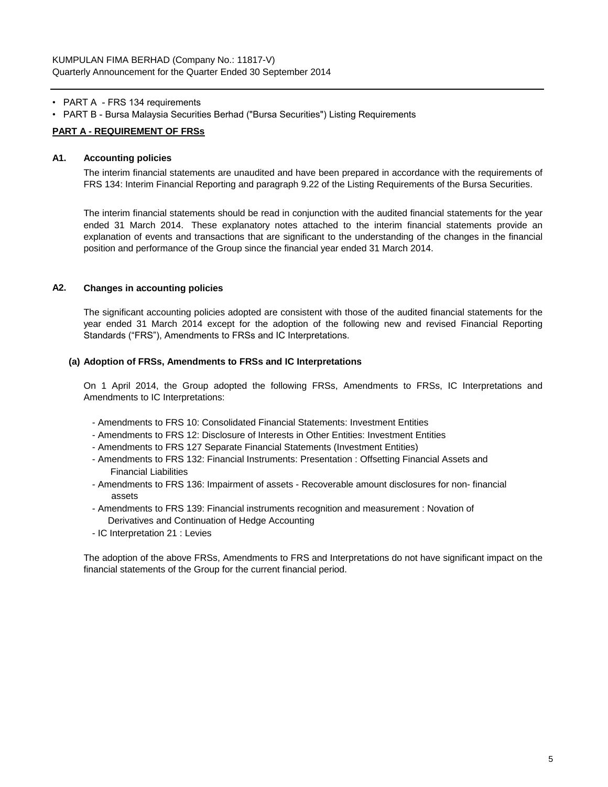- PART A FRS 134 requirements
- PART B Bursa Malaysia Securities Berhad ("Bursa Securities") Listing Requirements

## **PART A - REQUIREMENT OF FRSs**

## **A1. Accounting policies**

The interim financial statements are unaudited and have been prepared in accordance with the requirements of FRS 134: Interim Financial Reporting and paragraph 9.22 of the Listing Requirements of the Bursa Securities.

The interim financial statements should be read in conjunction with the audited financial statements for the year ended 31 March 2014. These explanatory notes attached to the interim financial statements provide an explanation of events and transactions that are significant to the understanding of the changes in the financial position and performance of the Group since the financial year ended 31 March 2014.

# **A2. Changes in accounting policies**

The significant accounting policies adopted are consistent with those of the audited financial statements for the year ended 31 March 2014 except for the adoption of the following new and revised Financial Reporting Standards ("FRS"), Amendments to FRSs and IC Interpretations.

#### **(a) Adoption of FRSs, Amendments to FRSs and IC Interpretations**

On 1 April 2014, the Group adopted the following FRSs, Amendments to FRSs, IC Interpretations and Amendments to IC Interpretations:

- Amendments to FRS 10: Consolidated Financial Statements: Investment Entities
- Amendments to FRS 12: Disclosure of Interests in Other Entities: Investment Entities
- Amendments to FRS 127 Separate Financial Statements (Investment Entities)
- Amendments to FRS 132: Financial Instruments: Presentation : Offsetting Financial Assets and Financial Liabilities
- Amendments to FRS 136: Impairment of assets Recoverable amount disclosures for non- financial assets
- Amendments to FRS 139: Financial instruments recognition and measurement : Novation of Derivatives and Continuation of Hedge Accounting
- IC Interpretation 21 : Levies

The adoption of the above FRSs, Amendments to FRS and Interpretations do not have significant impact on the financial statements of the Group for the current financial period.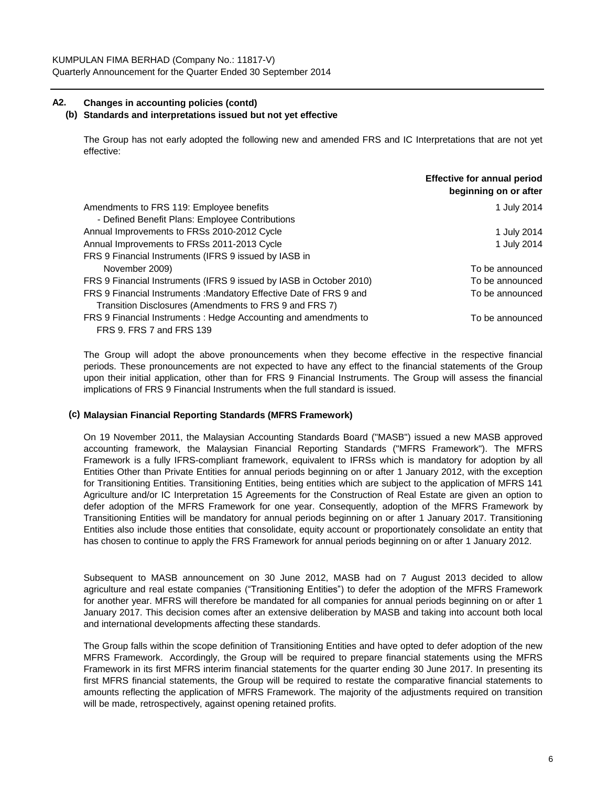# **A2. Changes in accounting policies (contd)**

## **(b) Standards and interpretations issued but not yet effective**

The Group has not early adopted the following new and amended FRS and IC Interpretations that are not yet effective:

|                                                                     | <b>Effective for annual period</b><br>beginning on or after |
|---------------------------------------------------------------------|-------------------------------------------------------------|
| Amendments to FRS 119: Employee benefits                            | 1 July 2014                                                 |
| - Defined Benefit Plans: Employee Contributions                     |                                                             |
| Annual Improvements to FRSs 2010-2012 Cycle                         | 1 July 2014                                                 |
| Annual Improvements to FRSs 2011-2013 Cycle                         | 1 July 2014                                                 |
| FRS 9 Financial Instruments (IFRS 9 issued by IASB in               |                                                             |
| November 2009)                                                      | To be announced                                             |
| FRS 9 Financial Instruments (IFRS 9 issued by IASB in October 2010) | To be announced                                             |
| FRS 9 Financial Instruments: Mandatory Effective Date of FRS 9 and  | To be announced                                             |
| Transition Disclosures (Amendments to FRS 9 and FRS 7)              |                                                             |
| FRS 9 Financial Instruments: Hedge Accounting and amendments to     | To be announced                                             |
| FRS 9. FRS 7 and FRS 139                                            |                                                             |

The Group will adopt the above pronouncements when they become effective in the respective financial periods. These pronouncements are not expected to have any effect to the financial statements of the Group upon their initial application, other than for FRS 9 Financial Instruments. The Group will assess the financial implications of FRS 9 Financial Instruments when the full standard is issued.

## **(c) Malaysian Financial Reporting Standards (MFRS Framework)**

On 19 November 2011, the Malaysian Accounting Standards Board ("MASB") issued a new MASB approved accounting framework, the Malaysian Financial Reporting Standards ("MFRS Framework"). The MFRS Framework is a fully IFRS-compliant framework, equivalent to IFRSs which is mandatory for adoption by all Entities Other than Private Entities for annual periods beginning on or after 1 January 2012, with the exception for Transitioning Entities. Transitioning Entities, being entities which are subject to the application of MFRS 141 Agriculture and/or IC Interpretation 15 Agreements for the Construction of Real Estate are given an option to defer adoption of the MFRS Framework for one year. Consequently, adoption of the MFRS Framework by Transitioning Entities will be mandatory for annual periods beginning on or after 1 January 2017. Transitioning Entities also include those entities that consolidate, equity account or proportionately consolidate an entity that has chosen to continue to apply the FRS Framework for annual periods beginning on or after 1 January 2012.

Subsequent to MASB announcement on 30 June 2012, MASB had on 7 August 2013 decided to allow agriculture and real estate companies ("Transitioning Entities") to defer the adoption of the MFRS Framework for another year. MFRS will therefore be mandated for all companies for annual periods beginning on or after 1 January 2017. This decision comes after an extensive deliberation by MASB and taking into account both local and international developments affecting these standards.

The Group falls within the scope definition of Transitioning Entities and have opted to defer adoption of the new MFRS Framework. Accordingly, the Group will be required to prepare financial statements using the MFRS Framework in its first MFRS interim financial statements for the quarter ending 30 June 2017. In presenting its first MFRS financial statements, the Group will be required to restate the comparative financial statements to amounts reflecting the application of MFRS Framework. The majority of the adjustments required on transition will be made, retrospectively, against opening retained profits.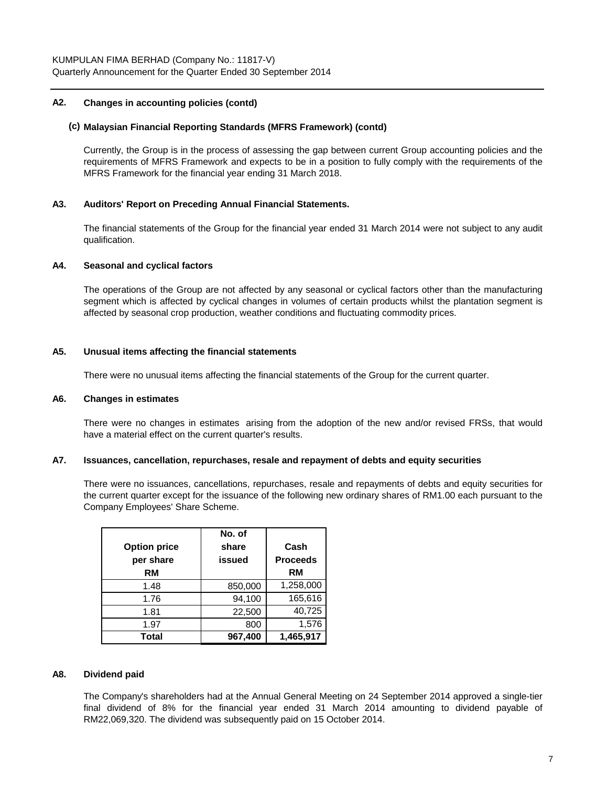## **A2. Changes in accounting policies (contd)**

## **(c) Malaysian Financial Reporting Standards (MFRS Framework) (contd)**

Currently, the Group is in the process of assessing the gap between current Group accounting policies and the requirements of MFRS Framework and expects to be in a position to fully comply with the requirements of the MFRS Framework for the financial year ending 31 March 2018.

#### **A3. Auditors' Report on Preceding Annual Financial Statements.**

The financial statements of the Group for the financial year ended 31 March 2014 were not subject to any audit qualification.

#### **A4. Seasonal and cyclical factors**

The operations of the Group are not affected by any seasonal or cyclical factors other than the manufacturing segment which is affected by cyclical changes in volumes of certain products whilst the plantation segment is affected by seasonal crop production, weather conditions and fluctuating commodity prices.

## **A5. Unusual items affecting the financial statements**

There were no unusual items affecting the financial statements of the Group for the current quarter.

#### **A6. Changes in estimates**

There were no changes in estimates arising from the adoption of the new and/or revised FRSs, that would have a material effect on the current quarter's results.

## **A7. Issuances, cancellation, repurchases, resale and repayment of debts and equity securities**

There were no issuances, cancellations, repurchases, resale and repayments of debts and equity securities for the current quarter except for the issuance of the following new ordinary shares of RM1.00 each pursuant to the Company Employees' Share Scheme.

| <b>Option price</b><br>per share<br>RM | No. of<br>share<br>issued | Cash<br><b>Proceeds</b><br>RM |
|----------------------------------------|---------------------------|-------------------------------|
| 1.48                                   | 850,000                   | 1,258,000                     |
| 1.76                                   | 94,100                    | 165,616                       |
| 1.81                                   | 22,500                    | 40,725                        |
| 1.97                                   | 800                       | 1,576                         |
| Total                                  | 967,400                   | 1,465,917                     |

#### **A8. Dividend paid**

The Company's shareholders had at the Annual General Meeting on 24 September 2014 approved a single-tier final dividend of 8% for the financial year ended 31 March 2014 amounting to dividend payable of RM22,069,320. The dividend was subsequently paid on 15 October 2014.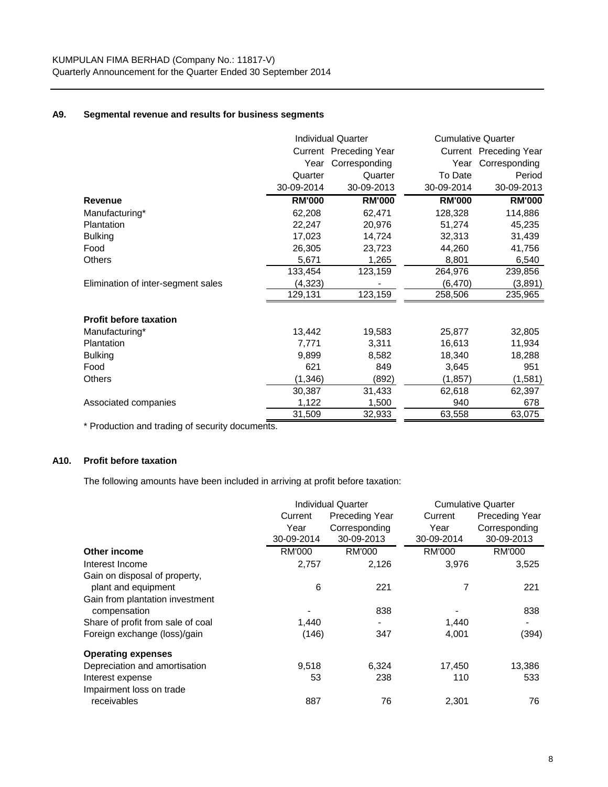# **A9. Segmental revenue and results for business segments**

|                                    | <b>Individual Quarter</b> |                        |               | <b>Cumulative Quarter</b> |  |  |
|------------------------------------|---------------------------|------------------------|---------------|---------------------------|--|--|
|                                    |                           | Current Preceding Year |               | Current Preceding Year    |  |  |
|                                    | Year                      | Corresponding          | Year          | Corresponding             |  |  |
|                                    | Quarter                   | Quarter                | To Date       | Period                    |  |  |
|                                    | 30-09-2014                | 30-09-2013             | 30-09-2014    | 30-09-2013                |  |  |
| Revenue                            | <b>RM'000</b>             | <b>RM'000</b>          | <b>RM'000</b> | <b>RM'000</b>             |  |  |
| Manufacturing*                     | 62,208                    | 62,471                 | 128,328       | 114,886                   |  |  |
| Plantation                         | 22,247                    | 20,976                 | 51,274        | 45,235                    |  |  |
| <b>Bulking</b>                     | 17,023                    | 14,724                 | 32,313        | 31,439                    |  |  |
| Food                               | 26,305                    | 23,723                 | 44,260        | 41,756                    |  |  |
| <b>Others</b>                      | 5,671                     | 1,265                  | 8,801         | 6,540                     |  |  |
|                                    | 133,454                   | 123,159                | 264,976       | 239,856                   |  |  |
| Elimination of inter-segment sales | (4, 323)                  |                        | (6, 470)      | (3,891)                   |  |  |
|                                    | 129,131                   | 123,159                | 258,506       | 235,965                   |  |  |
| <b>Profit before taxation</b>      |                           |                        |               |                           |  |  |
| Manufacturing*                     | 13,442                    | 19,583                 | 25,877        | 32,805                    |  |  |
| <b>Plantation</b>                  | 7,771                     | 3,311                  | 16,613        | 11,934                    |  |  |
| <b>Bulking</b>                     | 9,899                     | 8,582                  | 18,340        | 18,288                    |  |  |
| Food                               | 621                       | 849                    | 3,645         | 951                       |  |  |
| <b>Others</b>                      | (1, 346)                  | (892)                  | (1, 857)      | (1,581)                   |  |  |
|                                    | 30,387                    | 31,433                 | 62,618        | 62,397                    |  |  |
| Associated companies               | 1,122                     | 1,500                  | 940           | 678                       |  |  |
|                                    | 31,509                    | 32,933                 | 63,558        | 63,075                    |  |  |

\* Production and trading of security documents.

# **A10. Profit before taxation**

The following amounts have been included in arriving at profit before taxation:

|                                   |                                  | <b>Individual Quarter</b> |               | <b>Cumulative Quarter</b> |  |  |
|-----------------------------------|----------------------------------|---------------------------|---------------|---------------------------|--|--|
|                                   | <b>Preceding Year</b><br>Current |                           | Current       | <b>Preceding Year</b>     |  |  |
|                                   | Year                             | Corresponding             | Year          | Corresponding             |  |  |
|                                   | 30-09-2014                       | 30-09-2013                | 30-09-2014    | 30-09-2013                |  |  |
| Other income                      | RM'000                           | <b>RM'000</b>             | <b>RM'000</b> | RM'000                    |  |  |
| Interest Income                   | 2,757                            | 2,126                     | 3,976         | 3,525                     |  |  |
| Gain on disposal of property,     |                                  |                           |               |                           |  |  |
| plant and equipment               | 6                                | 221                       | 7             | 221                       |  |  |
| Gain from plantation investment   |                                  |                           |               |                           |  |  |
| compensation                      |                                  | 838                       |               | 838                       |  |  |
| Share of profit from sale of coal | 1,440                            | $\blacksquare$            | 1,440         |                           |  |  |
| Foreign exchange (loss)/gain      | (146)                            | 347                       | 4,001         | (394)                     |  |  |
| <b>Operating expenses</b>         |                                  |                           |               |                           |  |  |
| Depreciation and amortisation     | 9,518                            | 6,324                     | 17,450        | 13,386                    |  |  |
| Interest expense                  | 53                               | 238                       | 110           | 533                       |  |  |
| Impairment loss on trade          |                                  |                           |               |                           |  |  |
| receivables                       | 887                              | 76                        | 2,301         | 76                        |  |  |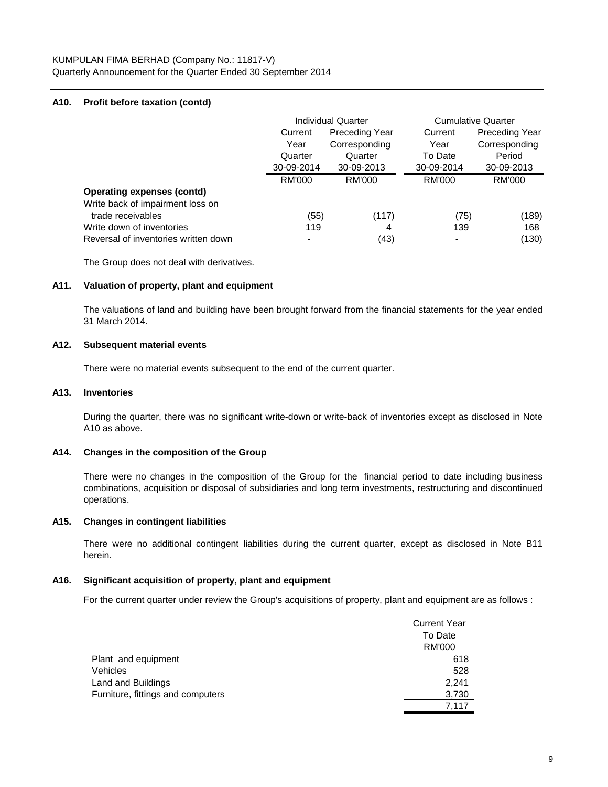## **A10. Profit before taxation (contd)**

|                                      | Individual Quarter |                       | <b>Cumulative Quarter</b> |                       |
|--------------------------------------|--------------------|-----------------------|---------------------------|-----------------------|
|                                      | Current            | <b>Preceding Year</b> | Current                   | <b>Preceding Year</b> |
|                                      | Year               | Corresponding         | Year                      | Corresponding         |
|                                      | Quarter            | Quarter               | To Date                   | Period                |
|                                      | 30-09-2014         | 30-09-2013            | 30-09-2014                | 30-09-2013            |
|                                      | RM'000             | RM'000                | RM'000                    | RM'000                |
| <b>Operating expenses (contd)</b>    |                    |                       |                           |                       |
| Write back of impairment loss on     |                    |                       |                           |                       |
| trade receivables                    | (55)               | (117)                 | (75)                      | (189)                 |
| Write down of inventories            | 119                | 4                     | 139                       | 168                   |
| Reversal of inventories written down |                    | (43)                  |                           | (130)                 |

The Group does not deal with derivatives.

#### **A11. Valuation of property, plant and equipment**

The valuations of land and building have been brought forward from the financial statements for the year ended 31 March 2014.

## **A12. Subsequent material events**

There were no material events subsequent to the end of the current quarter.

#### **A13. Inventories**

During the quarter, there was no significant write-down or write-back of inventories except as disclosed in Note A10 as above.

## **A14. Changes in the composition of the Group**

There were no changes in the composition of the Group for the financial period to date including business combinations, acquisition or disposal of subsidiaries and long term investments, restructuring and discontinued operations.

#### **A15. Changes in contingent liabilities**

There were no additional contingent liabilities during the current quarter, except as disclosed in Note B11 herein.

## **A16. Significant acquisition of property, plant and equipment**

For the current quarter under review the Group's acquisitions of property, plant and equipment are as follows :

|                                   | <b>Current Year</b> |
|-----------------------------------|---------------------|
|                                   | To Date             |
|                                   | <b>RM'000</b>       |
| Plant and equipment               | 618                 |
| Vehicles                          | 528                 |
| Land and Buildings                | 2.241               |
| Furniture, fittings and computers | 3,730               |
|                                   | 7.117               |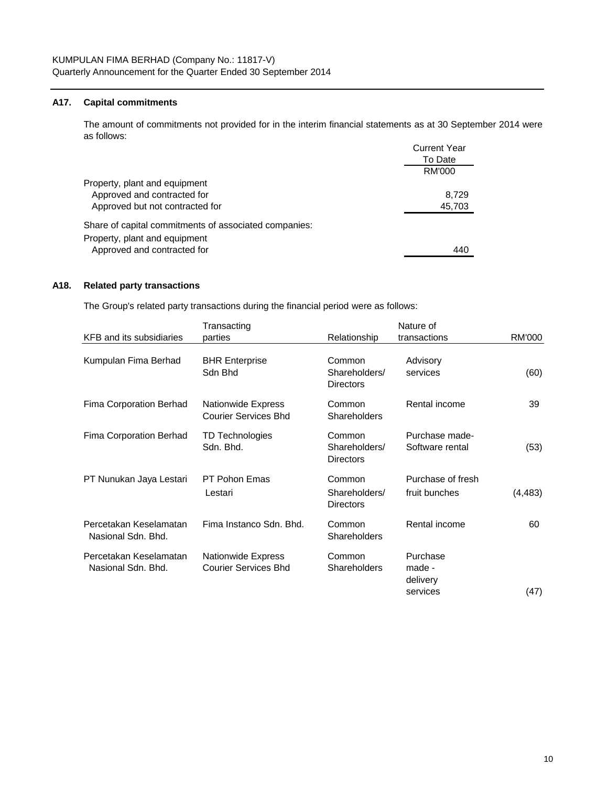## **A17. Capital commitments**

 $C$ urrent  $V$ e The amount of commitments not provided for in the interim financial statements as at 30 September 2014 were as follows:

|                                                       | Current Year |
|-------------------------------------------------------|--------------|
|                                                       | To Date      |
|                                                       | RM'000       |
| Property, plant and equipment                         |              |
| Approved and contracted for                           | 8.729        |
| Approved but not contracted for                       | 45,703       |
| Share of capital commitments of associated companies: |              |
| Property, plant and equipment                         |              |
| Approved and contracted for                           | 440          |
|                                                       |              |

## **A18. Related party transactions**

The Group's related party transactions during the financial period were as follows:

|                                              | Transacting                                              |                                             | Nature of                                  |               |
|----------------------------------------------|----------------------------------------------------------|---------------------------------------------|--------------------------------------------|---------------|
| KFB and its subsidiaries                     | parties                                                  | Relationship                                | transactions                               | <b>RM'000</b> |
| Kumpulan Fima Berhad                         | <b>BHR Enterprise</b><br>Sdn Bhd                         | Common<br>Shareholders/<br><b>Directors</b> | Advisory<br>services                       | (60)          |
| Fima Corporation Berhad                      | <b>Nationwide Express</b><br><b>Courier Services Bhd</b> | Common<br>Shareholders                      | Rental income                              | 39            |
| Fima Corporation Berhad                      | TD Technologies<br>Sdn. Bhd.                             | Common<br>Shareholders/<br><b>Directors</b> | Purchase made-<br>Software rental          | (53)          |
| PT Nunukan Jaya Lestari                      | <b>PT Pohon Emas</b><br>Lestari                          | Common<br>Shareholders/<br><b>Directors</b> | Purchase of fresh<br>fruit bunches         | (4, 483)      |
| Percetakan Keselamatan<br>Nasional Sdn. Bhd. | Fima Instanco Sdn. Bhd.                                  | Common<br>Shareholders                      | Rental income                              | 60            |
| Percetakan Keselamatan<br>Nasional Sdn. Bhd. | <b>Nationwide Express</b><br><b>Courier Services Bhd</b> | Common<br>Shareholders                      | Purchase<br>made -<br>delivery<br>services | (47)          |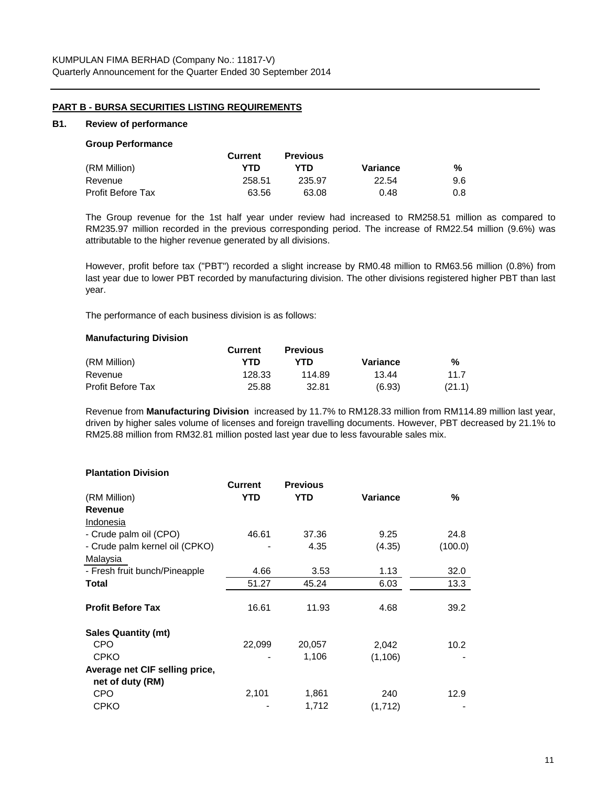## **PART B - BURSA SECURITIES LISTING REQUIREMENTS**

#### **B1. Review of performance**

#### **Group Performance**

|                   | <b>Current</b> | <b>Previous</b> |          |     |
|-------------------|----------------|-----------------|----------|-----|
| (RM Million)      | YTD            | YTD             | Variance | %   |
| Revenue           | 258.51         | 235.97          | 22.54    | 9.6 |
| Profit Before Tax | 63.56          | 63.08           | 0.48     | 0.8 |

The Group revenue for the 1st half year under review had increased to RM258.51 million as compared to RM235.97 million recorded in the previous corresponding period. The increase of RM22.54 million (9.6%) was attributable to the higher revenue generated by all divisions.

However, profit before tax ("PBT") recorded a slight increase by RM0.48 million to RM63.56 million (0.8%) from last year due to lower PBT recorded by manufacturing division. The other divisions registered higher PBT than last year.

The performance of each business division is as follows:

#### **Manufacturing Division**

|                          | <b>Current</b> | <b>Previous</b> |          |        |
|--------------------------|----------------|-----------------|----------|--------|
| (RM Million)             | YTD            | YTD             | Variance | %      |
| Revenue                  | 128.33         | 114.89          | 13.44    | 11.7   |
| <b>Profit Before Tax</b> | 25.88          | 32.81           | (6.93)   | (21.1) |

Revenue from **Manufacturing Division** increased by 11.7% to RM128.33 million from RM114.89 million last year, driven by higher sales volume of licenses and foreign travelling documents. However, PBT decreased by 21.1% to RM25.88 million from RM32.81 million posted last year due to less favourable sales mix.

#### **Plantation Division**

|                                | <b>Current</b> | <b>Previous</b> |          |         |
|--------------------------------|----------------|-----------------|----------|---------|
| (RM Million)                   | YTD            | <b>YTD</b>      | Variance | ℅       |
| <b>Revenue</b>                 |                |                 |          |         |
| Indonesia                      |                |                 |          |         |
| - Crude palm oil (CPO)         | 46.61          | 37.36           | 9.25     | 24.8    |
| - Crude palm kernel oil (CPKO) |                | 4.35            | (4.35)   | (100.0) |
| Malaysia                       |                |                 |          |         |
| - Fresh fruit bunch/Pineapple  | 4.66           | 3.53            | 1.13     | 32.0    |
| Total                          | 51.27          | 45.24           | 6.03     | 13.3    |
|                                |                |                 |          |         |
| <b>Profit Before Tax</b>       | 16.61          | 11.93           | 4.68     | 39.2    |
| <b>Sales Quantity (mt)</b>     |                |                 |          |         |
| CPO                            | 22,099         | 20,057          | 2,042    | 10.2    |
| <b>CPKO</b>                    |                | 1,106           | (1, 106) |         |
| Average net CIF selling price, |                |                 |          |         |
| net of duty (RM)               |                |                 |          |         |
| CPO                            | 2,101          | 1,861           | 240      | 12.9    |
| <b>CPKO</b>                    |                | 1,712           | (1, 712) |         |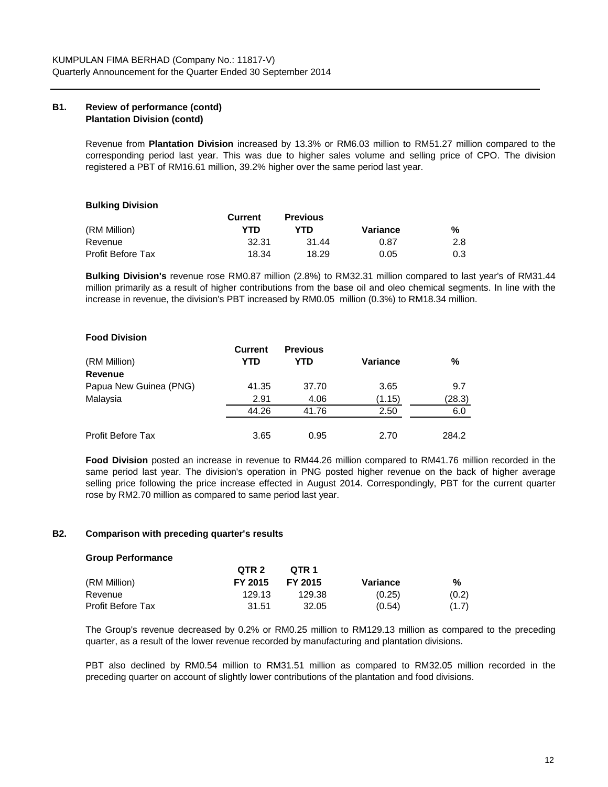## **B1. Review of performance (contd) Plantation Division (contd)**

Revenue from **Plantation Division** increased by 13.3% or RM6.03 million to RM51.27 million compared to the corresponding period last year. This was due to higher sales volume and selling price of CPO. The division registered a PBT of RM16.61 million, 39.2% higher over the same period last year.

## **Bulking Division**

|                   | <b>Current</b> | <b>Previous</b> |          |     |
|-------------------|----------------|-----------------|----------|-----|
| (RM Million)      | YTD            | YTD             | Variance | %   |
| Revenue           | 32.31          | 31.44           | 0.87     | 2.8 |
| Profit Before Tax | 18.34          | 18.29           | 0.05     | 0.3 |

**Bulking Division's** revenue rose RM0.87 million (2.8%) to RM32.31 million compared to last year's of RM31.44 million primarily as a result of higher contributions from the base oil and oleo chemical segments. In line with the increase in revenue, the division's PBT increased by RM0.05 million (0.3%) to RM18.34 million.

## **Food Division**

|                          | <b>Current</b> | <b>Previous</b> |          |        |
|--------------------------|----------------|-----------------|----------|--------|
| (RM Million)             | YTD            | YTD             | Variance | %      |
| <b>Revenue</b>           |                |                 |          |        |
| Papua New Guinea (PNG)   | 41.35          | 37.70           | 3.65     | 9.7    |
| Malaysia                 | 2.91           | 4.06            | (1.15)   | (28.3) |
|                          | 44.26          | 41.76           | 2.50     | 6.0    |
| <b>Profit Before Tax</b> | 3.65           | 0.95            | 2.70     | 284.2  |

**Food Division** posted an increase in revenue to RM44.26 million compared to RM41.76 million recorded in the same period last year. The division's operation in PNG posted higher revenue on the back of higher average selling price following the price increase effected in August 2014. Correspondingly, PBT for the current quarter rose by RM2.70 million as compared to same period last year.

#### **B2. Comparison with preceding quarter's results**

#### **Group Performance**

|                   | QTR <sub>2</sub> | OTR 1   |          |       |
|-------------------|------------------|---------|----------|-------|
| (RM Million)      | FY 2015          | FY 2015 | Variance | %     |
| Revenue           | 129.13           | 129.38  | (0.25)   | (0.2) |
| Profit Before Tax | 31.51            | 32.05   | (0.54)   | (1.7) |

The Group's revenue decreased by 0.2% or RM0.25 million to RM129.13 million as compared to the preceding quarter, as a result of the lower revenue recorded by manufacturing and plantation divisions.

PBT also declined by RM0.54 million to RM31.51 million as compared to RM32.05 million recorded in the preceding quarter on account of slightly lower contributions of the plantation and food divisions.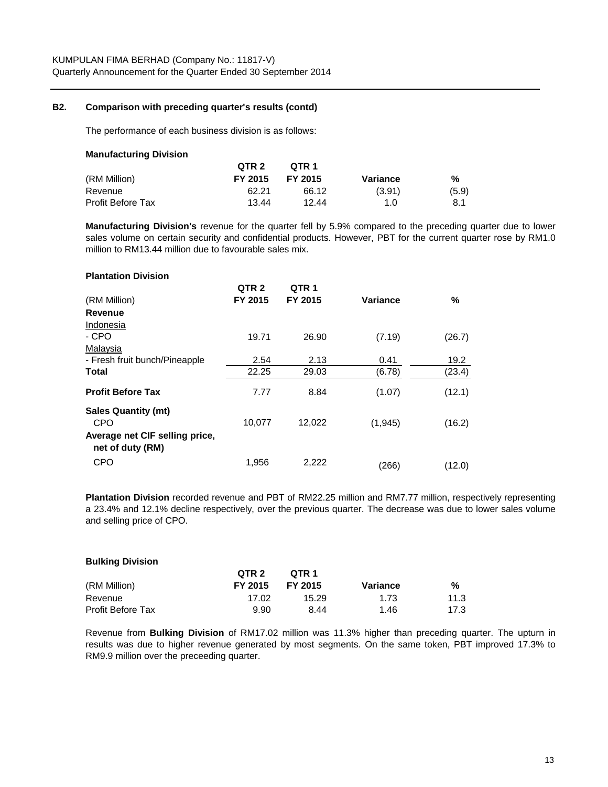## **B2. Comparison with preceding quarter's results (contd)**

The performance of each business division is as follows:

#### **Manufacturing Division**

|                   | QTR <sub>2</sub> | OTR 1   |          |       |
|-------------------|------------------|---------|----------|-------|
| (RM Million)      | FY 2015          | FY 2015 | Variance | %     |
| Revenue           | 62.21            | 66.12   | (3.91)   | (5.9) |
| Profit Before Tax | 13.44            | 12.44   | 1.0      | 8.1   |

**Manufacturing Division's** revenue for the quarter fell by 5.9% compared to the preceding quarter due to lower sales volume on certain security and confidential products. However, PBT for the current quarter rose by RM1.0 million to RM13.44 million due to favourable sales mix.

## **QTR 2 QTR 1** (RM Million) **FY 2015 FY 2015 Variance % Revenue** Indonesia 19.71 26.90 (7.19) (26.7) Malaysia - Fresh fruit bunch/Pineapple 2.54 2.13 0.41 19.2 **Total** 22.25 29.03 (6.78) (23.4) **Profit Before Tax 7.77** 8.84 (1.07) (12.1) 10,077 12,022 (1,945) (16.2) CPO 1,956 2,222 (266) (12.0) **Average net CIF selling price, net of duty (RM) Sales Quantity (mt)** CPO - CPO **Plantation Division**

**Plantation Division** recorded revenue and PBT of RM22.25 million and RM7.77 million, respectively representing a 23.4% and 12.1% decline respectively, over the previous quarter. The decrease was due to lower sales volume and selling price of CPO.

#### **Bulking Division**

|                          | QTR 2   | OTR 1   |          |      |
|--------------------------|---------|---------|----------|------|
| (RM Million)             | FY 2015 | FY 2015 | Variance | %    |
| Revenue                  | 17.02   | 15.29   | 1.73     | 11.3 |
| <b>Profit Before Tax</b> | 9.90    | 8.44    | 1.46     | 17.3 |

Revenue from **Bulking Division** of RM17.02 million was 11.3% higher than preceding quarter. The upturn in results was due to higher revenue generated by most segments. On the same token, PBT improved 17.3% to RM9.9 million over the preceeding quarter.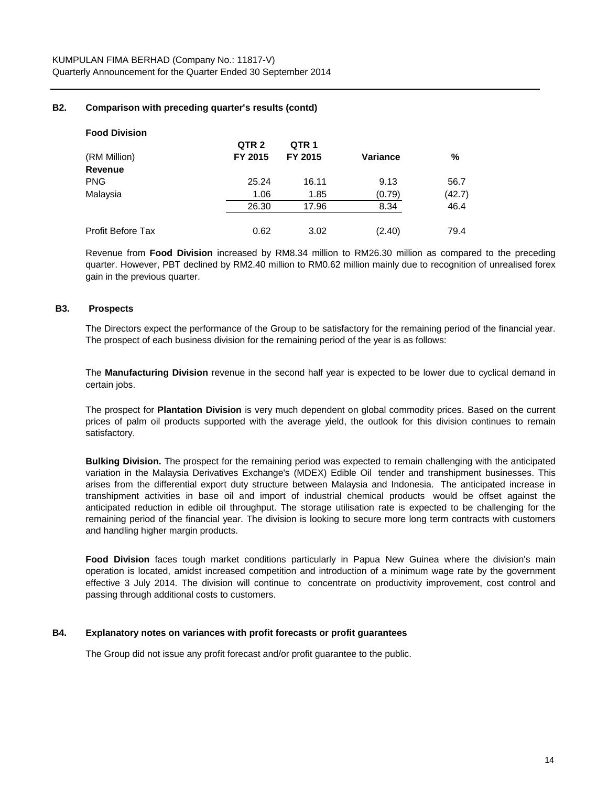## **B2. Comparison with preceding quarter's results (contd)**

| <b>Food Division</b> |                  |         |          |        |
|----------------------|------------------|---------|----------|--------|
|                      | QTR <sub>2</sub> | QTR 1   |          |        |
| (RM Million)         | FY 2015          | FY 2015 | Variance | %      |
| Revenue              |                  |         |          |        |
| PNG                  | 25.24            | 16.11   | 9.13     | 56.7   |
| Malaysia             | 1.06             | 1.85    | (0.79)   | (42.7) |
|                      | 26.30            | 17.96   | 8.34     | 46.4   |
|                      |                  |         |          |        |
| Profit Before Tax    | 0.62             | 3.02    | (2.40)   | 79.4   |

Revenue from **Food Division** increased by RM8.34 million to RM26.30 million as compared to the preceding quarter. However, PBT declined by RM2.40 million to RM0.62 million mainly due to recognition of unrealised forex gain in the previous quarter.

#### **B3. Prospects**

The Directors expect the performance of the Group to be satisfactory for the remaining period of the financial year. The prospect of each business division for the remaining period of the year is as follows:

The **Manufacturing Division** revenue in the second half year is expected to be lower due to cyclical demand in certain jobs.

The prospect for **Plantation Division** is very much dependent on global commodity prices. Based on the current prices of palm oil products supported with the average yield, the outlook for this division continues to remain satisfactory.

**Bulking Division.** The prospect for the remaining period was expected to remain challenging with the anticipated variation in the Malaysia Derivatives Exchange's (MDEX) Edible Oil tender and transhipment businesses. This arises from the differential export duty structure between Malaysia and Indonesia. The anticipated increase in transhipment activities in base oil and import of industrial chemical products would be offset against the anticipated reduction in edible oil throughput. The storage utilisation rate is expected to be challenging for the remaining period of the financial year. The division is looking to secure more long term contracts with customers and handling higher margin products.

**Food Division** faces tough market conditions particularly in Papua New Guinea where the division's main operation is located, amidst increased competition and introduction of a minimum wage rate by the government effective 3 July 2014. The division will continue to concentrate on productivity improvement, cost control and passing through additional costs to customers.

#### **B4. Explanatory notes on variances with profit forecasts or profit guarantees**

The Group did not issue any profit forecast and/or profit guarantee to the public.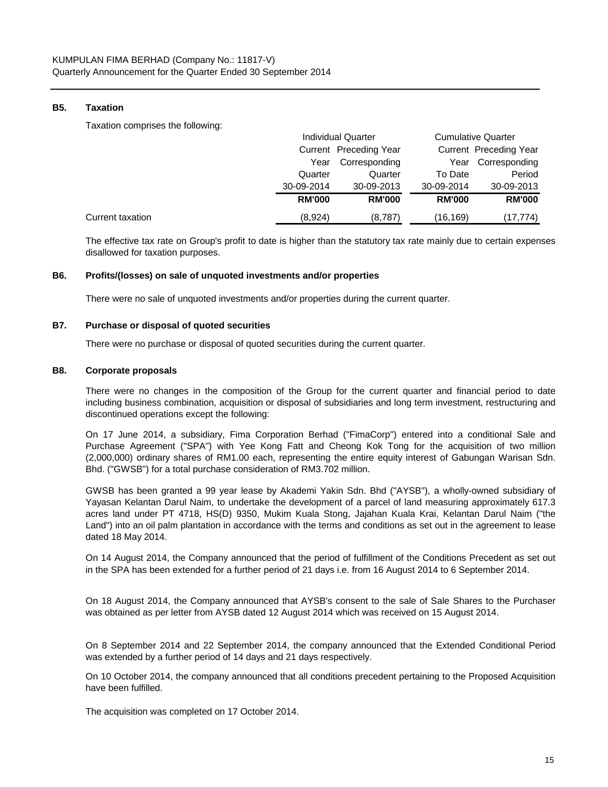## **B5. Taxation**

Taxation comprises the following:

|                  |               | <b>Individual Quarter</b> |               | <b>Cumulative Quarter</b> |  |
|------------------|---------------|---------------------------|---------------|---------------------------|--|
|                  |               | Current Preceding Year    |               | Current Preceding Year    |  |
|                  | Year          | Corresponding             | Year          | Corresponding             |  |
|                  | Quarter       | Quarter                   | To Date       | Period                    |  |
|                  | 30-09-2014    | 30-09-2013                | 30-09-2014    | 30-09-2013                |  |
|                  | <b>RM'000</b> | <b>RM'000</b>             | <b>RM'000</b> | <b>RM'000</b>             |  |
| Current taxation | (8,924)       | (8,787)                   | (16,169)      | (17,774)                  |  |

The effective tax rate on Group's profit to date is higher than the statutory tax rate mainly due to certain expenses disallowed for taxation purposes.

#### **B6. Profits/(losses) on sale of unquoted investments and/or properties**

There were no sale of unquoted investments and/or properties during the current quarter.

#### **B7. Purchase or disposal of quoted securities**

There were no purchase or disposal of quoted securities during the current quarter.

#### **B8. Corporate proposals**

There were no changes in the composition of the Group for the current quarter and financial period to date including business combination, acquisition or disposal of subsidiaries and long term investment, restructuring and discontinued operations except the following:

On 17 June 2014, a subsidiary, Fima Corporation Berhad ("FimaCorp") entered into a conditional Sale and Purchase Agreement ("SPA") with Yee Kong Fatt and Cheong Kok Tong for the acquisition of two million (2,000,000) ordinary shares of RM1.00 each, representing the entire equity interest of Gabungan Warisan Sdn. Bhd. ("GWSB") for a total purchase consideration of RM3.702 million.

GWSB has been granted a 99 year lease by Akademi Yakin Sdn. Bhd ("AYSB"), a wholly-owned subsidiary of Yayasan Kelantan Darul Naim, to undertake the development of a parcel of land measuring approximately 617.3 acres land under PT 4718, HS(D) 9350, Mukim Kuala Stong, Jajahan Kuala Krai, Kelantan Darul Naim ("the Land") into an oil palm plantation in accordance with the terms and conditions as set out in the agreement to lease dated 18 May 2014.

On 14 August 2014, the Company announced that the period of fulfillment of the Conditions Precedent as set out in the SPA has been extended for a further period of 21 days i.e. from 16 August 2014 to 6 September 2014.

On 18 August 2014, the Company announced that AYSB's consent to the sale of Sale Shares to the Purchaser was obtained as per letter from AYSB dated 12 August 2014 which was received on 15 August 2014.

On 8 September 2014 and 22 September 2014, the company announced that the Extended Conditional Period was extended by a further period of 14 days and 21 days respectively.

On 10 October 2014, the company announced that all conditions precedent pertaining to the Proposed Acquisition have been fulfilled.

The acquisition was completed on 17 October 2014.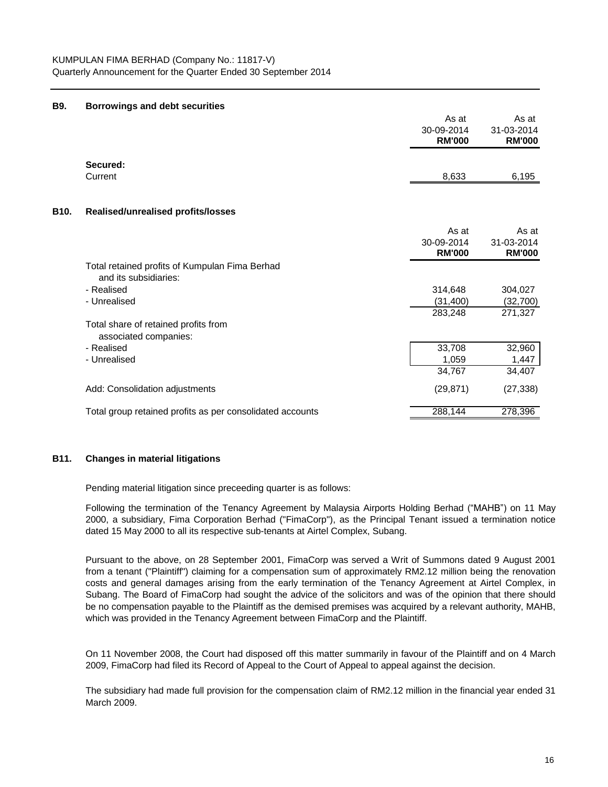#### **B9. Borrowings and debt securities**

|      |                                                                         | As at<br>30-09-2014<br><b>RM'000</b> | As at<br>31-03-2014<br><b>RM'000</b> |
|------|-------------------------------------------------------------------------|--------------------------------------|--------------------------------------|
|      | Secured:<br>Current                                                     | 8,633                                | 6,195                                |
| B10. | Realised/unrealised profits/losses                                      |                                      |                                      |
|      |                                                                         | As at<br>30-09-2014<br><b>RM'000</b> | As at<br>31-03-2014<br><b>RM'000</b> |
|      | Total retained profits of Kumpulan Fima Berhad<br>and its subsidiaries: |                                      |                                      |
|      | - Realised                                                              | 314,648                              | 304,027                              |
|      | - Unrealised                                                            | (31,400)                             | (32, 700)                            |
|      |                                                                         | 283,248                              | 271,327                              |
|      | Total share of retained profits from<br>associated companies:           |                                      |                                      |
|      | - Realised                                                              | 33,708                               | 32,960                               |
|      | - Unrealised                                                            | 1,059                                | 1,447                                |
|      |                                                                         | 34,767                               | 34,407                               |
|      | Add: Consolidation adjustments                                          | (29, 871)                            | (27, 338)                            |
|      | Total group retained profits as per consolidated accounts               | 288,144                              | 278,396                              |

## **B11. Changes in material litigations**

Pending material litigation since preceeding quarter is as follows:

Following the termination of the Tenancy Agreement by Malaysia Airports Holding Berhad ("MAHB") on 11 May 2000, a subsidiary, Fima Corporation Berhad ("FimaCorp"), as the Principal Tenant issued a termination notice dated 15 May 2000 to all its respective sub-tenants at Airtel Complex, Subang.

Pursuant to the above, on 28 September 2001, FimaCorp was served a Writ of Summons dated 9 August 2001 from a tenant ("Plaintiff") claiming for a compensation sum of approximately RM2.12 million being the renovation costs and general damages arising from the early termination of the Tenancy Agreement at Airtel Complex, in Subang. The Board of FimaCorp had sought the advice of the solicitors and was of the opinion that there should be no compensation payable to the Plaintiff as the demised premises was acquired by a relevant authority, MAHB, which was provided in the Tenancy Agreement between FimaCorp and the Plaintiff.

On 11 November 2008, the Court had disposed off this matter summarily in favour of the Plaintiff and on 4 March 2009, FimaCorp had filed its Record of Appeal to the Court of Appeal to appeal against the decision.

The subsidiary had made full provision for the compensation claim of RM2.12 million in the financial year ended 31 March 2009.